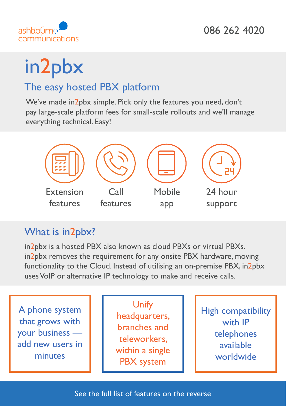

# in2pbx

## The easy hosted PBX platform

We've made in2pbx simple. Pick only the features you need, don't pay large-scale platform fees for small-scale rollouts and we'll manage everything technical. Easy!



## What is in2pbx?

in2pbx is a hosted PBX also known as cloud PBXs or virtual PBXs. in2pbx removes the requirement for any onsite PBX hardware, moving functionality to the Cloud. Instead of utilising an on-premise PBX, in2pbx uses VoIP or alternative IP technology to make and receive calls.

A phone system that grows with your business add new users in minutes

Unify headquarters, branches and teleworkers, within a single PBX system

High compatibility with IP telephones available worldwide